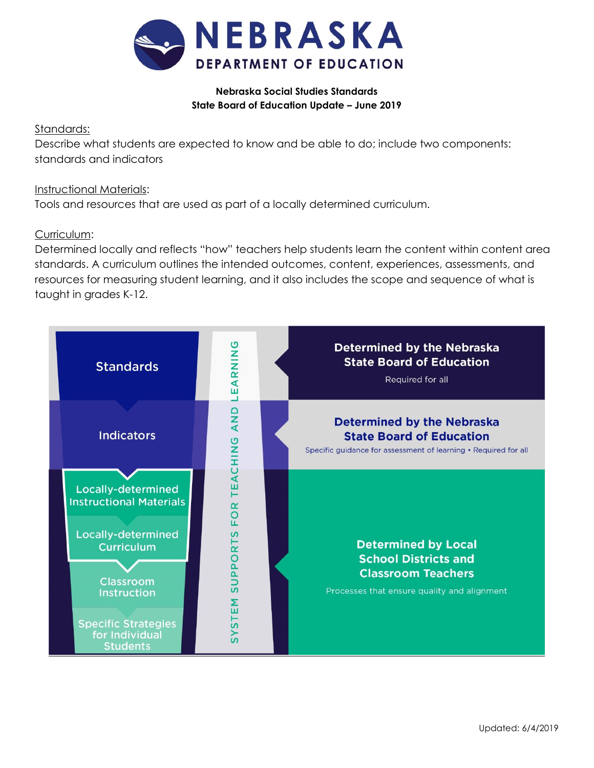

## **Nebraska Social Studies Standards State Board of Education Update – June 2019**

## Standards:

Describe what students are expected to know and be able to do; include two components: standards and indicators

# Instructional Materials:

Tools and resources that are used as part of a locally determined curriculum.

## Curriculum:

Determined locally and reflects "how" teachers help students learn the content within content area standards. A curriculum outlines the intended outcomes, content, experiences, assessments, and resources for measuring student learning, and it also includes the scope and sequence of what is taught in grades K-12.